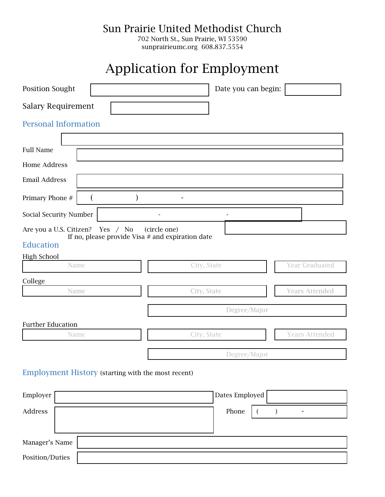Sun Prairie United Methodist Church

702 North St., Sun Prairie, WI 53590 sunprairieumc.org 608.837.5554

## Application for Employment

| Position Sought                                                                                           |  |             | Date you can begin: |                       |  |
|-----------------------------------------------------------------------------------------------------------|--|-------------|---------------------|-----------------------|--|
| <b>Salary Requirement</b>                                                                                 |  |             |                     |                       |  |
| <b>Personal Information</b>                                                                               |  |             |                     |                       |  |
| <b>Full Name</b>                                                                                          |  |             |                     |                       |  |
| <b>Home Address</b>                                                                                       |  |             |                     |                       |  |
| <b>Email Address</b>                                                                                      |  |             |                     |                       |  |
| Primary Phone #                                                                                           |  |             |                     |                       |  |
| Social Security Number                                                                                    |  |             |                     |                       |  |
| Are you a U.S. Citizen?<br>Yes / No<br>(circle one)<br>If no, please provide Visa $#$ and expiration date |  |             |                     |                       |  |
| Education                                                                                                 |  |             |                     |                       |  |
| <b>High School</b>                                                                                        |  |             |                     |                       |  |
| Name                                                                                                      |  | City, State |                     | Year Graduated        |  |
| College                                                                                                   |  |             |                     |                       |  |
| Name                                                                                                      |  | City, State |                     | <b>Years Attended</b> |  |
|                                                                                                           |  |             | Degree/Major        |                       |  |
| <b>Further Education</b>                                                                                  |  |             |                     |                       |  |
| Name                                                                                                      |  | City, State |                     | <b>Years Attended</b> |  |
|                                                                                                           |  |             | Degree/Major        |                       |  |

Employment History (starting with the most recent)

| Employer        | Dates Employed |
|-----------------|----------------|
| Address         | Phone          |
| Manager's Name  |                |
| Position/Duties |                |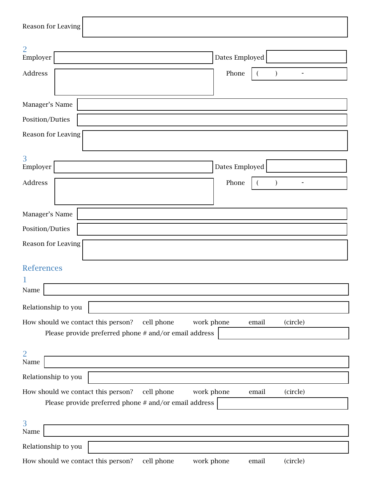| Reason for Leaving                                                                  |                    |  |  |  |
|-------------------------------------------------------------------------------------|--------------------|--|--|--|
| $\overline{2}$                                                                      |                    |  |  |  |
| Employer                                                                            | Dates Employed     |  |  |  |
| Address                                                                             | Phone              |  |  |  |
|                                                                                     |                    |  |  |  |
| Manager's Name                                                                      |                    |  |  |  |
| Position/Duties                                                                     |                    |  |  |  |
| Reason for Leaving                                                                  |                    |  |  |  |
| 3<br>Employer                                                                       | Dates Employed     |  |  |  |
|                                                                                     |                    |  |  |  |
| Address                                                                             | Phone<br>$\lambda$ |  |  |  |
|                                                                                     |                    |  |  |  |
| Manager's Name                                                                      |                    |  |  |  |
| Position/Duties                                                                     |                    |  |  |  |
| Reason for Leaving                                                                  |                    |  |  |  |
|                                                                                     |                    |  |  |  |
| <b>References</b>                                                                   |                    |  |  |  |
| 1<br>Name                                                                           |                    |  |  |  |
|                                                                                     |                    |  |  |  |
| Relationship to you                                                                 |                    |  |  |  |
| How should we contact this person?<br>cell phone<br>work phone<br>(circle)<br>email |                    |  |  |  |
| Please provide preferred phone # and/or email address                               |                    |  |  |  |
| $\overline{2}$                                                                      |                    |  |  |  |
| $\rm Name$                                                                          |                    |  |  |  |
| Relationship to you                                                                 |                    |  |  |  |
| cell phone<br>work phone<br>How should we contact this person?                      | (circle)<br>email  |  |  |  |
| Please provide preferred phone # and/or email address                               |                    |  |  |  |
| 3                                                                                   |                    |  |  |  |
| Name                                                                                |                    |  |  |  |
| Relationship to you                                                                 |                    |  |  |  |
| How should we contact this person?<br>cell phone<br>work phone                      | (circle)<br>email  |  |  |  |